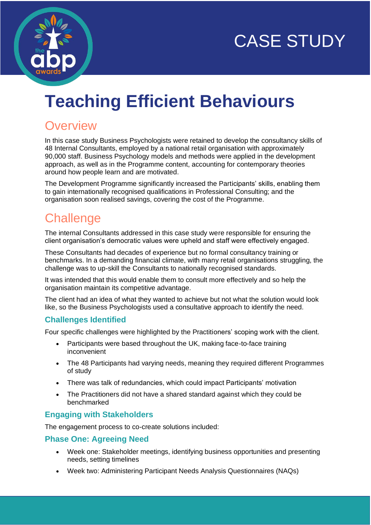



# **Teaching Efficient Behaviours**

# **Overview**

In this case study Business Psychologists were retained to develop the consultancy skills of 48 Internal Consultants, employed by a national retail organisation with approximately 90,000 staff. Business Psychology models and methods were applied in the development approach, as well as in the Programme content, accounting for contemporary theories around how people learn and are motivated.

The Development Programme significantly increased the Participants' skills, enabling them to gain internationally recognised qualifications in Professional Consulting; and the organisation soon realised savings, covering the cost of the Programme.

# **Challenge**

The internal Consultants addressed in this case study were responsible for ensuring the client organisation's democratic values were upheld and staff were effectively engaged.

These Consultants had decades of experience but no formal consultancy training or benchmarks. In a demanding financial climate, with many retail organisations struggling, the challenge was to up-skill the Consultants to nationally recognised standards.

It was intended that this would enable them to consult more effectively and so help the organisation maintain its competitive advantage.

The client had an idea of what they wanted to achieve but not what the solution would look like, so the Business Psychologists used a consultative approach to identify the need.

#### **Challenges Identified**

Four specific challenges were highlighted by the Practitioners' scoping work with the client.

- Participants were based throughout the UK, making face-to-face training inconvenient
- The 48 Participants had varying needs, meaning they required different Programmes of study
- There was talk of redundancies, which could impact Participants' motivation
- The Practitioners did not have a shared standard against which they could be benchmarked

#### **Engaging with Stakeholders**

The engagement process to co-create solutions included:

#### **Phase One: Agreeing Need**

- Week one: Stakeholder meetings, identifying business opportunities and presenting needs, setting timelines
- Week two: Administering Participant Needs Analysis Questionnaires (NAQs)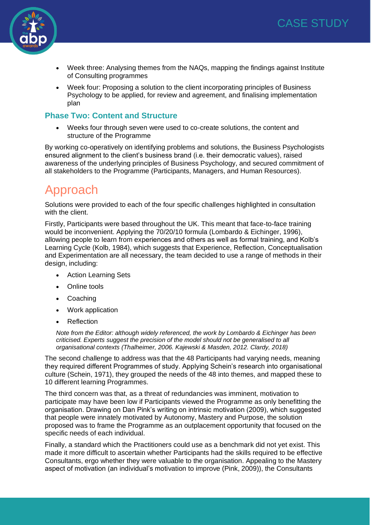

- Week three: Analysing themes from the NAQs, mapping the findings against Institute of Consulting programmes
- Week four: Proposing a solution to the client incorporating principles of Business Psychology to be applied, for review and agreement, and finalising implementation plan

#### **Phase Two: Content and Structure**

• Weeks four through seven were used to co-create solutions, the content and structure of the Programme

By working co-operatively on identifying problems and solutions, the Business Psychologists ensured alignment to the client's business brand (i.e. their democratic values), raised awareness of the underlying principles of Business Psychology, and secured commitment of all stakeholders to the Programme (Participants, Managers, and Human Resources).

## Approach

Solutions were provided to each of the four specific challenges highlighted in consultation with the client.

Firstly, Participants were based throughout the UK. This meant that face-to-face training would be inconvenient. Applying the 70/20/10 formula (Lombardo & Eichinger, 1996), allowing people to learn from experiences and others as well as formal training, and Kolb's Learning Cycle (Kolb, 1984), which suggests that Experience, Reflection, Conceptualisation and Experimentation are all necessary, the team decided to use a range of methods in their design, including:

- Action Learning Sets
- **Online tools**
- Coaching
- Work application
- **Reflection**

*Note from the Editor: although widely referenced, the work by Lombardo & Eichinger has been criticised. Experts suggest the precision of the model should not be generalised to all organisational contexts (Thalheimer, 2006. Kajewski & Masden, 2012. Clardy, 2018)*

The second challenge to address was that the 48 Participants had varying needs, meaning they required different Programmes of study. Applying Schein's research into organisational culture (Schein, 1971), they grouped the needs of the 48 into themes, and mapped these to 10 different learning Programmes.

The third concern was that, as a threat of redundancies was imminent, motivation to participate may have been low if Participants viewed the Programme as only benefitting the organisation. Drawing on Dan Pink's writing on intrinsic motivation (2009), which suggested that people were innately motivated by Autonomy, Mastery and Purpose, the solution proposed was to frame the Programme as an outplacement opportunity that focused on the specific needs of each individual.

Finally, a standard which the Practitioners could use as a benchmark did not yet exist. This made it more difficult to ascertain whether Participants had the skills required to be effective Consultants, ergo whether they were valuable to the organisation. Appealing to the Mastery aspect of motivation (an individual's motivation to improve (Pink, 2009)), the Consultants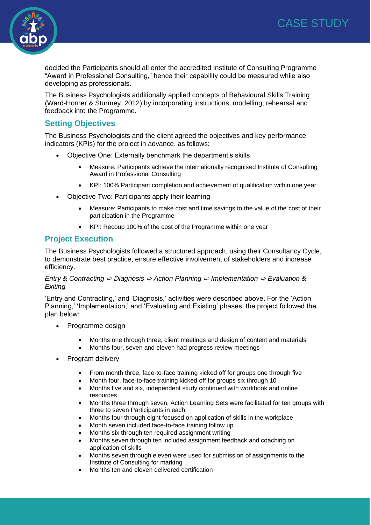



decided the Participants should all enter the accredited Institute of Consulting Programme "Award in Professional Consulting," hence their capability could be measured while also developing as professionals.

The Business Psychologists additionally applied concepts of Behavioural Skills Training (Ward-Horner & Sturmey, 2012) by incorporating instructions, modelling, rehearsal and feedback into the Programme.

#### **Setting Objectives**

The Business Psychologists and the client agreed the objectives and key performance indicators (KPIs) for the project in advance, as follows:

- Objective One: Externally benchmark the department's skills
	- Measure: Participants achieve the internationally recognised Institute of Consulting Award in Professional Consulting
	- KPI: 100% Participant completion and achievement of qualification within one year
- Objective Two: Participants apply their learning
	- Measure: Participants to make cost and time savings to the value of the cost of their participation in the Programme
	- KPI: Recoup 100% of the cost of the Programme within one year

#### **Project Execution**

The Business Psychologists followed a structured approach, using their Consultancy Cycle, to demonstrate best practice, ensure effective involvement of stakeholders and increase efficiency.

#### *Entry & Contracting* ⇨ *Diagnosis* ⇨ *Action Planning* ⇨ *Implementation* ⇨ *Evaluation & Exiting*

'Entry and Contracting,' and 'Diagnosis,' activities were described above. For the 'Action Planning,' 'Implementation,' and 'Evaluating and Existing' phases, the project followed the plan below:

- Programme design
	- Months one through three, client meetings and design of content and materials
	- Months four, seven and eleven had progress review meetings
- Program delivery
	- From month three, face-to-face training kicked off for groups one through five
	- Month four, face-to-face training kicked off for groups six through 10
	- Months five and six, independent study continued with workbook and online resources
	- Months three through seven, Action Learning Sets were facilitated for ten groups with three to seven Participants in each
	- Months four through eight focused on application of skills in the workplace
	- Month seven included face-to-face training follow up
	- Months six through ten required assignment writing
	- Months seven through ten included assignment feedback and coaching on application of skills
	- Months seven through eleven were used for submission of assignments to the Institute of Consulting for marking
	- Months ten and eleven delivered certification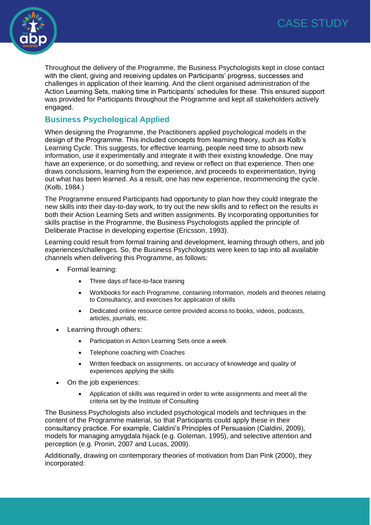

Throughout the delivery of the Programme, the Business Psychologists kept in close contact with the client, giving and receiving updates on Participants' progress, successes and challenges in application of their learning. And the client organised administration of the Action Learning Sets, making time in Participants' schedules for these. This ensured support was provided for Participants throughout the Programme and kept all stakeholders actively engaged.

#### **Business Psychological Applied**

When designing the Programme, the Practitioners applied psychological models in the design of the Programme. This included concepts from learning theory, such as Kolb's Learning Cycle. This suggests, for effective learning, people need time to absorb new information, use it experimentally and integrate it with their existing knowledge. One may have an experience, or do something, and review or reflect on that experience. Then one draws conclusions, learning from the experience, and proceeds to experimentation, trying out what has been learned. As a result, one has new experience, recommencing the cycle. (Kolb, 1984.)

The Programme ensured Participants had opportunity to plan how they could integrate the new skills into their day-to-day work, to try out the new skills and to reflect on the results in both their Action Learning Sets and written assignments. By incorporating opportunities for skills practise in the Programme, the Business Psychologists applied the principle of Deliberate Practise in developing expertise (Ericsson, 1993).

Learning could result from formal training and development, learning through others, and job experiences/challenges. So, the Business Psychologists were keen to tap into all available channels when delivering this Programme, as follows:

- Formal learning:
	- Three days of face-to-face training
	- Workbooks for each Programme, containing information, models and theories relating to Consultancy, and exercises for application of skills
	- Dedicated online resource centre provided access to books, videos, podcasts, articles, journals, etc.
- Learning through others:
	- Participation in Action Learning Sets once a week
	- Telephone coaching with Coaches
	- Written feedback on assignments, on accuracy of knowledge and quality of experiences applying the skills
- On the job experiences:
	- Application of skills was required in order to write assignments and meet all the criteria set by the Institute of Consulting

The Business Psychologists also included psychological models and techniques in the content of the Programme material, so that Participants could apply these in their consultancy practice. For example, Cialdini's Principles of Persuasion (Cialdini, 2009), models for managing amygdala hijack (e.g. Goleman, 1995), and selective attention and perception (e.g. Pronin, 2007 and Lucas, 2009).

Additionally, drawing on contemporary theories of motivation from Dan Pink (2000), they incorporated: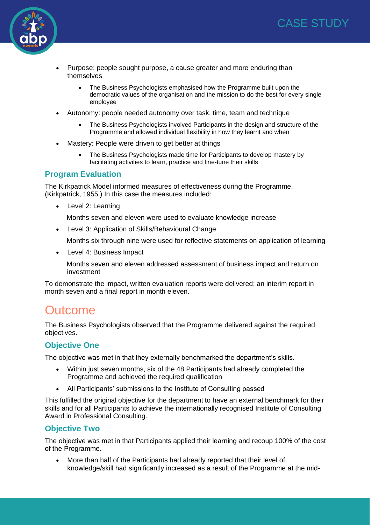



- Purpose: people sought purpose, a cause greater and more enduring than themselves
	- The Business Psychologists emphasised how the Programme built upon the democratic values of the organisation and the mission to do the best for every single employee
- Autonomy: people needed autonomy over task, time, team and technique
	- The Business Psychologists involved Participants in the design and structure of the Programme and allowed individual flexibility in how they learnt and when
- Mastery: People were driven to get better at things
	- The Business Psychologists made time for Participants to develop mastery by facilitating activities to learn, practice and fine-tune their skills

#### **Program Evaluation**

The Kirkpatrick Model informed measures of effectiveness during the Programme. (Kirkpatrick, 1955.) In this case the measures included:

• Level 2: Learning

Months seven and eleven were used to evaluate knowledge increase

• Level 3: Application of Skills/Behavioural Change

Months six through nine were used for reflective statements on application of learning

• Level 4: Business Impact

Months seven and eleven addressed assessment of business impact and return on investment

To demonstrate the impact, written evaluation reports were delivered: an interim report in month seven and a final report in month eleven.

### **Outcome**

The Business Psychologists observed that the Programme delivered against the required objectives.

#### **Objective One**

The objective was met in that they externally benchmarked the department's skills.

- Within just seven months, six of the 48 Participants had already completed the Programme and achieved the required qualification
- All Participants' submissions to the Institute of Consulting passed

This fulfilled the original objective for the department to have an external benchmark for their skills and for all Participants to achieve the internationally recognised Institute of Consulting Award in Professional Consulting.

#### **Objective Two**

The objective was met in that Participants applied their learning and recoup 100% of the cost of the Programme.

• More than half of the Participants had already reported that their level of knowledge/skill had significantly increased as a result of the Programme at the mid-